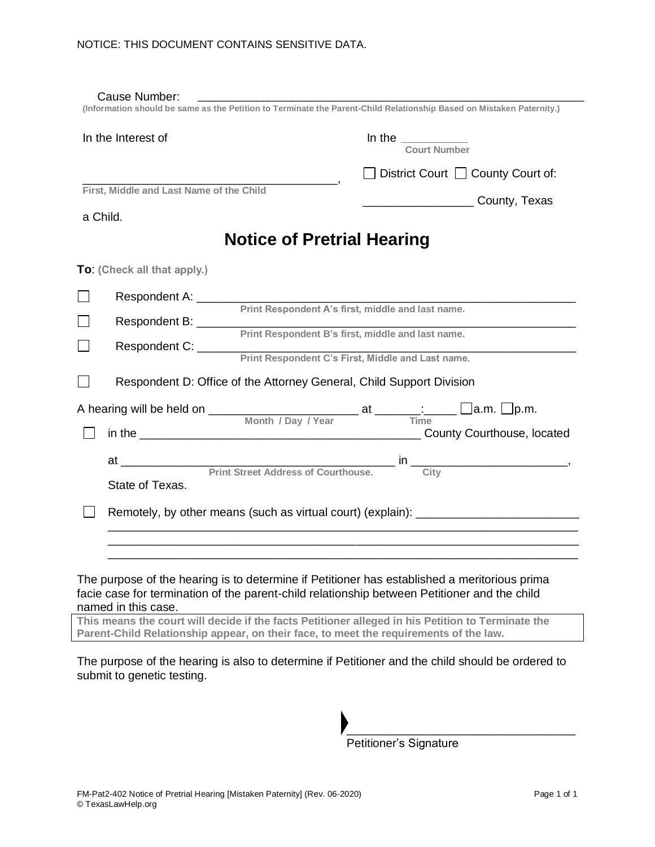| In the Interest of                       | In the $\frac{1}{2}$<br>Court Number                                                                                                |
|------------------------------------------|-------------------------------------------------------------------------------------------------------------------------------------|
|                                          | □ District Court □ County Court of:                                                                                                 |
| First, Middle and Last Name of the Child | <b>County, Texas</b>                                                                                                                |
| a Child.                                 |                                                                                                                                     |
|                                          | <b>Notice of Pretrial Hearing</b>                                                                                                   |
| To: (Check all that apply.)              |                                                                                                                                     |
| Respondent A: ________                   |                                                                                                                                     |
| Respondent B: ________                   | Print Respondent A's first, middle and last name.                                                                                   |
|                                          | Print Respondent B's first, middle and last name.                                                                                   |
| Respondent C: ______                     | Print Respondent C's First, Middle and Last name.                                                                                   |
|                                          | Respondent D: Office of the Attorney General, Child Support Division                                                                |
|                                          | A hearing will be held on $\frac{1}{\frac{1}{\frac{1}{\sqrt{1}}}}$ Month / Day / Year at $\frac{1}{\sqrt{1}}$ Time a.m. $\Box$ p.m. |
|                                          |                                                                                                                                     |
|                                          |                                                                                                                                     |
|                                          |                                                                                                                                     |
| State of Texas.                          |                                                                                                                                     |
|                                          | Remotely, by other means (such as virtual court) (explain): _____________________                                                   |
|                                          |                                                                                                                                     |

facie case for termination of the parent-child relationship between Petitioner and the child named in this case.

**This means the court will decide if the facts Petitioner alleged in his Petition to Terminate the Parent-Child Relationship appear, on their face, to meet the requirements of the law.** 

The purpose of the hearing is also to determine if Petitioner and the child should be ordered to submit to genetic testing.

> \_\_\_\_\_\_\_\_\_\_\_\_\_\_\_\_\_\_\_\_\_\_\_\_\_\_\_\_\_\_\_\_\_\_\_ Petitioner's Signature